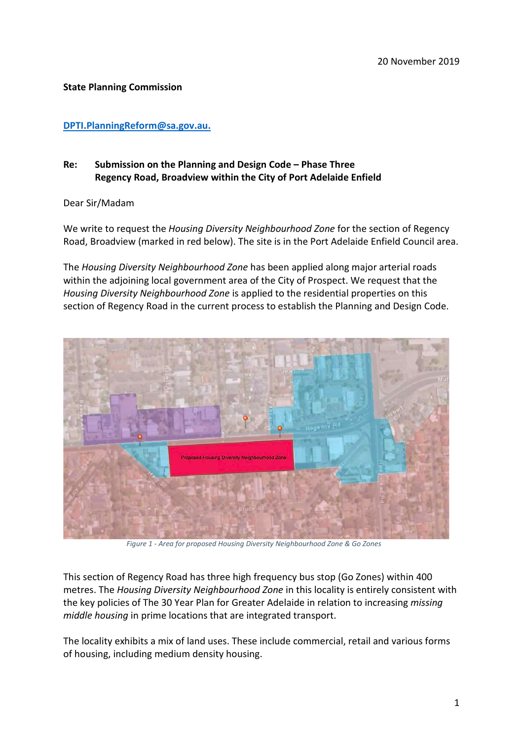## **State Planning Commission**

## **[DPTI.PlanningReform@sa.gov.au.](mailto:DPTI.PlanningReform@sa.gov.au)**

## **Re: Submission on the Planning and Design Code – Phase Three Regency Road, Broadview within the City of Port Adelaide Enfield**

Dear Sir/Madam

We write to request the *Housing Diversity Neighbourhood Zone* for the section of Regency Road, Broadview (marked in red below). The site is in the Port Adelaide Enfield Council area.

The *Housing Diversity Neighbourhood Zone* has been applied along major arterial roads within the adjoining local government area of the City of Prospect. We request that the *Housing Diversity Neighbourhood Zone* is applied to the residential properties on this section of Regency Road in the current process to establish the Planning and Design Code.



*Figure 1 - Area for proposed Housing Diversity Neighbourhood Zone & Go Zones*

This section of Regency Road has three high frequency bus stop (Go Zones) within 400 metres. The *Housing Diversity Neighbourhood Zone* in this locality is entirely consistent with the key policies of The 30 Year Plan for Greater Adelaide in relation to increasing *missing middle housing* in prime locations that are integrated transport.

The locality exhibits a mix of land uses. These include commercial, retail and various forms of housing, including medium density housing.